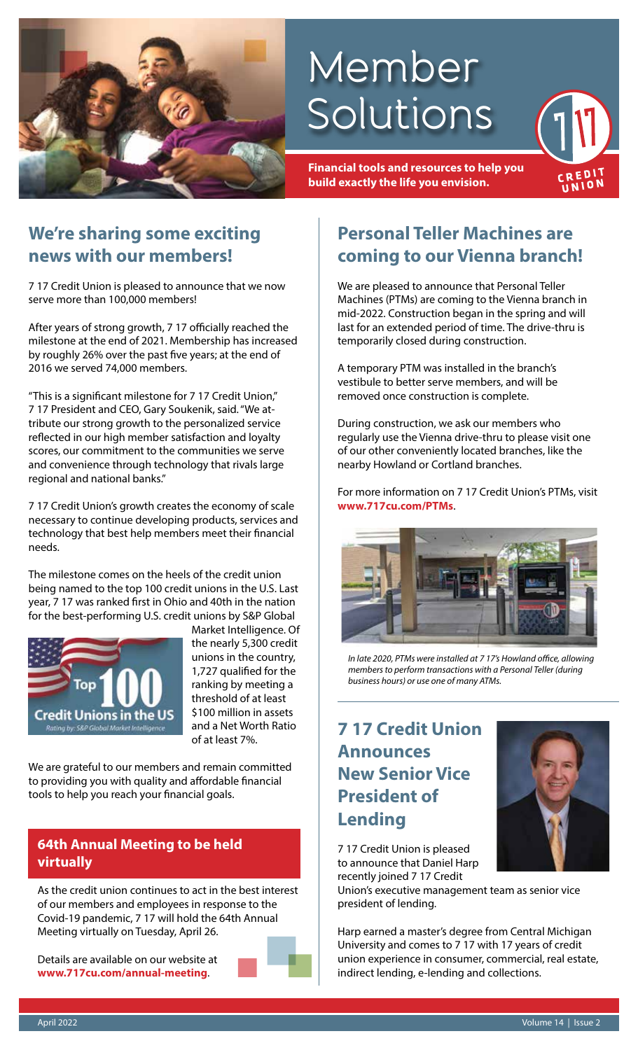

# Member Solutions

**Financial tools and resources to help you build exactly the life you envision.**

### **We're sharing some exciting news with our members!**

7 17 Credit Union is pleased to announce that we now serve more than 100,000 members!

After years of strong growth, 7 17 officially reached the milestone at the end of 2021. Membership has increased by roughly 26% over the past five years; at the end of 2016 we served 74,000 members.

"This is a significant milestone for 7 17 Credit Union," 7 17 President and CEO, Gary Soukenik, said. "We attribute our strong growth to the personalized service reflected in our high member satisfaction and loyalty scores, our commitment to the communities we serve and convenience through technology that rivals large regional and national banks."

7 17 Credit Union's growth creates the economy of scale necessary to continue developing products, services and technology that best help members meet their financial needs.

The milestone comes on the heels of the credit union being named to the top 100 credit unions in the U.S. Last year, 7 17 was ranked first in Ohio and 40th in the nation for the best-performing U.S. credit unions by S&P Global



Market Intelligence. Of the nearly 5,300 credit unions in the country, 1,727 qualified for the ranking by meeting a threshold of at least \$100 million in assets and a Net Worth Ratio of at least 7%.

We are grateful to our members and remain committed to providing you with quality and affordable financial tools to help you reach your financial goals.

### **64th Annual Meeting to be held virtually**

As the credit union continues to act in the best interest of our members and employees in response to the Covid-19 pandemic, 7 17 will hold the 64th Annual Meeting virtually on Tuesday, April 26.

Details are available on our website at **www.717cu.com/annual-meeting**.



### **Personal Teller Machines are coming to our Vienna branch!**

CRED! UNION

We are pleased to announce that Personal Teller Machines (PTMs) are coming to the Vienna branch in mid-2022. Construction began in the spring and will last for an extended period of time. The drive-thru is temporarily closed during construction.

A temporary PTM was installed in the branch's vestibule to better serve members, and will be removed once construction is complete.

During construction, we ask our members who regularly use the Vienna drive-thru to please visit one of our other conveniently located branches, like the nearby Howland or Cortland branches.

For more information on 7 17 Credit Union's PTMs, visit **www.717cu.com/PTMs**.



*In late 2020, PTMs were installed at 7 17's Howland office, allowing members to perform transactions with a Personal Teller (during business hours) or use one of many ATMs.*

### **7 17 Credit Union Announces New Senior Vice President of Lending**



7 17 Credit Union is pleased to announce that Daniel Harp recently joined 7 17 Credit

Union's executive management team as senior vice president of lending.

Harp earned a master's degree from Central Michigan University and comes to 7 17 with 17 years of credit union experience in consumer, commercial, real estate, indirect lending, e-lending and collections.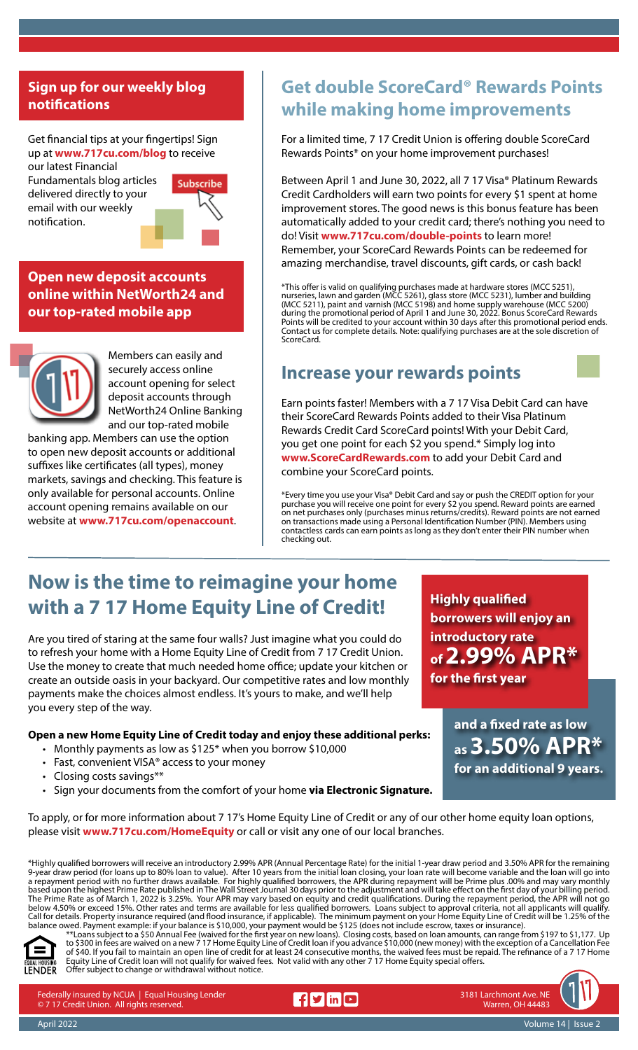### **Sign up for our weekly blog notifications**

Get financial tips at your fingertips! Sign up at **www.717cu.com/blog** to receive our latest Financial

Fundamentals blog articles delivered directly to your email with our weekly notification.



**Open new deposit accounts online within NetWorth24 and our top-rated mobile app**



Members can easily and securely access online account opening for select deposit accounts through NetWorth24 Online Banking and our top-rated mobile

banking app. Members can use the option to open new deposit accounts or additional suffixes like certificates (all types), money markets, savings and checking. This feature is only available for personal accounts. Online account opening remains available on our website at **www.717cu.com/openaccount**.

### **Get double ScoreCard® Rewards Points while making home improvements**

For a limited time, 7 17 Credit Union is offering double ScoreCard Rewards Points\* on your home improvement purchases!

Between April 1 and June 30, 2022, all 7 17 Visa® Platinum Rewards Credit Cardholders will earn two points for every \$1 spent at home improvement stores. The good news is this bonus feature has been automatically added to your credit card; there's nothing you need to do! Visit **www.717cu.com/double-points** to learn more! Remember, your ScoreCard Rewards Points can be redeemed for amazing merchandise, travel discounts, gift cards, or cash back!

\*This offer is valid on qualifying purchases made at hardware stores (MCC 5251), nurseries, lawn and garden (MCC 5261), glass store (MCC 5231), lumber and building (MCC 5211), paint and varnish (MCC 5198) and home supply warehouse (MCC 5200) during the promotional period of April 1 and June 30, 2022. Bonus ScoreCard Rewards Points will be credited to your account within 30 days after this promotional period ends. Contact us for complete details. Note: qualifying purchases are at the sole discretion of ScoreCard.

### **Increase your rewards points**



Earn points faster! Members with a 7 17 Visa Debit Card can have their ScoreCard Rewards Points added to their Visa Platinum Rewards Credit Card ScoreCard points! With your Debit Card, you get one point for each \$2 you spend.\* Simply log into **www.ScoreCardRewards.com** to add your Debit Card and combine your ScoreCard points.

\*Every time you use your Visa® Debit Card and say or push the CREDIT option for your purchase you will receive one point for every \$2 you spend. Reward points are earned on net purchases only (purchases minus returns/credits). Reward points are not earned on transactions made using a Personal Identification Number (PIN). Members using contactless cards can earn points as long as they don't enter their PIN number when checking out.

### **Now is the time to reimagine your home with a 7 17 Home Equity Line of Credit!**

Are you tired of staring at the same four walls? Just imagine what you could do to refresh your home with a Home Equity Line of Credit from 7 17 Credit Union. Use the money to create that much needed home office; update your kitchen or create an outside oasis in your backyard. Our competitive rates and low monthly payments make the choices almost endless. It's yours to make, and we'll help you every step of the way.

#### **Open a new Home Equity Line of Credit today and enjoy these additional perks:**

- Monthly payments as low as \$125\* when you borrow \$10,000
- Fast, convenient VISA® access to your money
- Closing costs savings\*\*
- Sign your documents from the comfort of your home **via Electronic Signature.**

**Highly qualified borrowers will enjoy an introductory rate of 2.99% APR\* for the first year**

> **and a fixed rate as low as 3.50% APR\* for an additional 9 years.**

To apply, or for more information about 7 17's Home Equity Line of Credit or any of our other home equity loan options, please visit **www.717cu.com/HomeEquity** or call or visit any one of our local branches.

\*Highly qualified borrowers will receive an introductory 2.99% APR (Annual Percentage Rate) for the initial 1-year draw period and 3.50% APR for the remaining 9-year draw period (for loans up to 80% loan to value). After 10 years from the initial loan closing, your loan rate will become variable and the loan will go into a repayment period with no further draws available. For highly qualified borrowers, the APR during repayment will be Prime plus .00% and may vary monthly based upon the highest Prime Rate published in The Wall Street Journal 30 days prior to the adjustment and will take effect on the first day of your billing period. The Prime Rate as of March 1, 2022 is 3.25%. Your APR may vary based on equity and credit qualifications. During the repayment period, the APR will not go below 4.50% or exceed 15%. Other rates and terms are available for less qualified borrowers. Loans subject to approval criteria, not all applicants will qualify. Call for details. Property insurance required (and flood insurance, if applicable). The minimum payment on your Home Equity Line of Credit will be 1.25% of the balance owed. Payment example: if your balance is \$10,000, your payment would be \$125 (does not include escrow, taxes or insurance).



\*\*Loans subject to a \$50 Annual Fee (waived for the first year on new loans). Closing costs, based on loan amounts, can range from \$197 to \$1,177. Up to \$300 in fees are waived on a new 7 17 Home Equity Line of Credit loan if you advance \$10,000 (new money) with the exception of a Cancellation Fee of \$40. If you fail to maintain an open line of credit for at least 24 consecutive months, the waived fees must be repaid. The refinance of a 7 17 Home Equity Line of Credit loan will not qualify for waived fees. Not valid with any other 7 17 Home Equity special offers. Offer subject to change or withdrawal without notice.

Federally insured by NCUA | Equal Housing Lender © 7 17 Credit Union. All rights reserved.



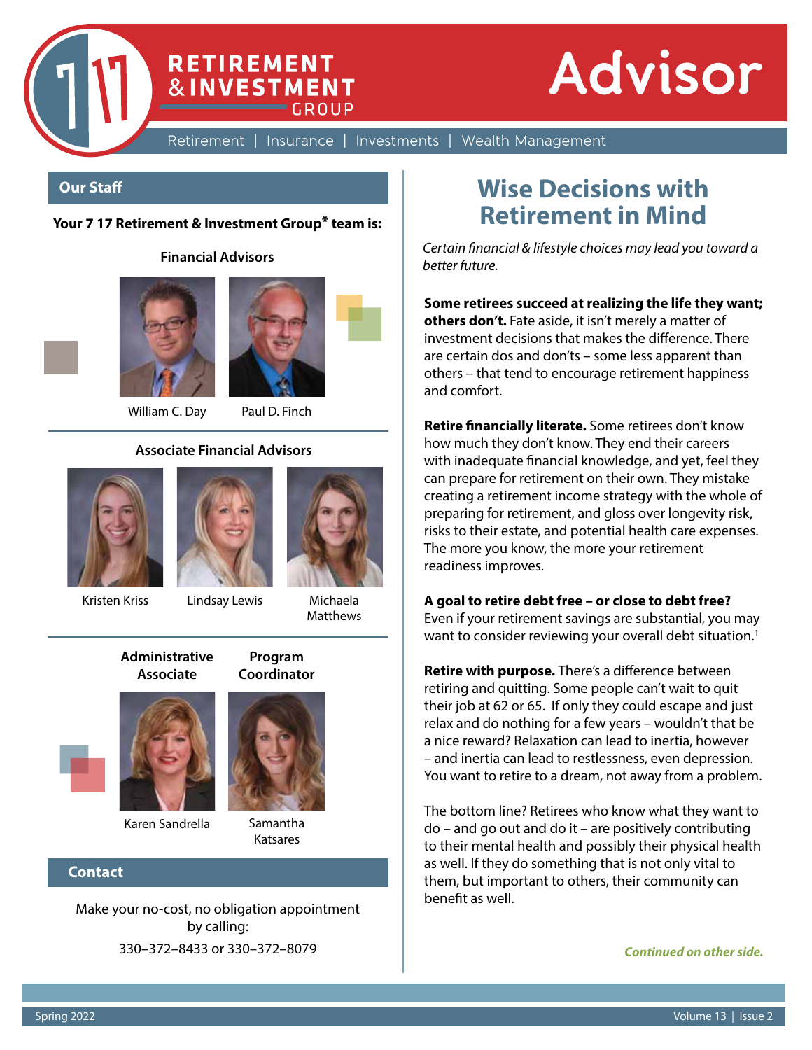

Retirement | Insurance | Investments | Wealth Management

#### **Our Staff**

#### **Your 7 17 Retirement & Investment Group\* team is:**

**RETIREMENT &INVESTMENT** 

CROUP

**Financial Advisors**





William C. Day Paul D. Finch

#### **Associate Financial Advisors**









**Program Coordinator**

**Matthews** 

**Administrative Associate**



Karen Sandrella Samantha

# Katsares

#### **Contact**

Make your no-cost, no obligation appointment by calling: 330–372–8433 or 330–372–8079

### **Wise Decisions with Retirement in Mind**

*Certain financial & lifestyle choices may lead you toward a better future.*

**Some retirees succeed at realizing the life they want; others don't.** Fate aside, it isn't merely a matter of investment decisions that makes the difference. There are certain dos and don'ts – some less apparent than others – that tend to encourage retirement happiness and comfort.

**Retire financially literate.** Some retirees don't know how much they don't know. They end their careers with inadequate financial knowledge, and yet, feel they can prepare for retirement on their own. They mistake creating a retirement income strategy with the whole of preparing for retirement, and gloss over longevity risk, risks to their estate, and potential health care expenses. The more you know, the more your retirement readiness improves.

#### **A goal to retire debt free – or close to debt free?**

Even if your retirement savings are substantial, you may want to consider reviewing your overall debt situation.<sup>1</sup>

**Retire with purpose.** There's a difference between retiring and quitting. Some people can't wait to quit their job at 62 or 65. If only they could escape and just relax and do nothing for a few years – wouldn't that be a nice reward? Relaxation can lead to inertia, however – and inertia can lead to restlessness, even depression. You want to retire to a dream, not away from a problem.

The bottom line? Retirees who know what they want to do – and go out and do it – are positively contributing to their mental health and possibly their physical health as well. If they do something that is not only vital to them, but important to others, their community can benefit as well.

*Continued on other side.*